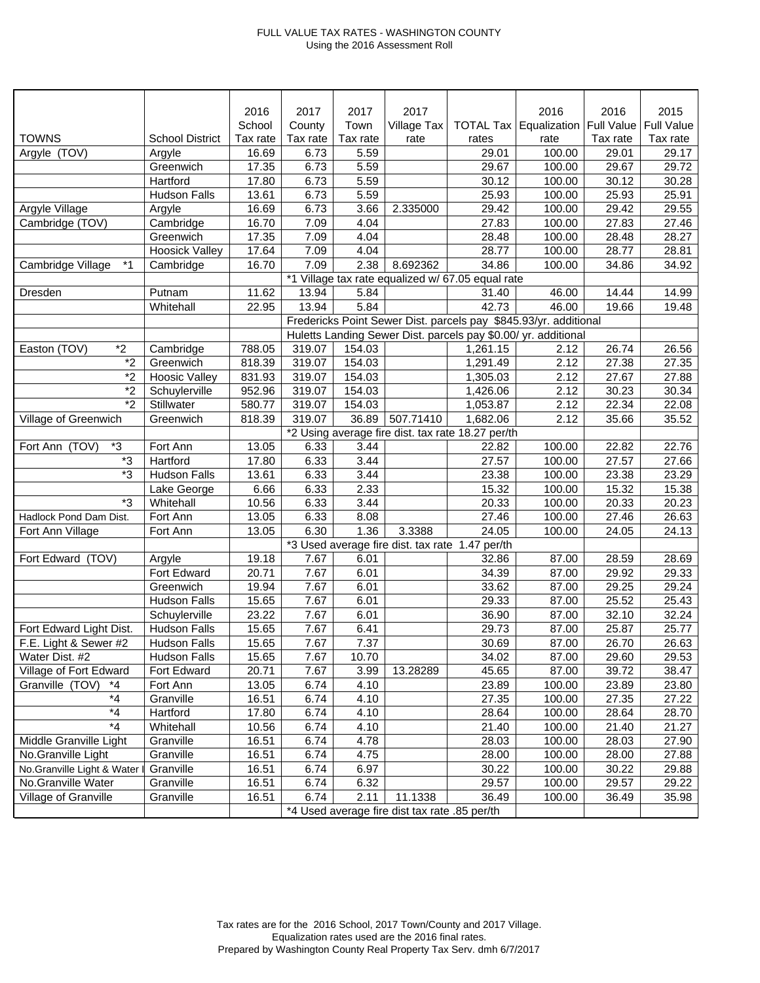## FULL VALUE TAX RATES - WASHINGTON COUNTY Using the 2016 Assessment Roll

|                              |                        | 2016     | 2017                                            | 2017     | 2017        |                                                   | 2016                                                             | 2016              | 2015              |
|------------------------------|------------------------|----------|-------------------------------------------------|----------|-------------|---------------------------------------------------|------------------------------------------------------------------|-------------------|-------------------|
|                              |                        | School   | County                                          | Town     | Village Tax |                                                   | TOTAL Tax Equalization                                           | <b>Full Value</b> | <b>Full Value</b> |
| <b>TOWNS</b>                 | <b>School District</b> | Tax rate | Tax rate                                        | Tax rate | rate        | rates                                             | rate                                                             | Tax rate          | Tax rate          |
| Argyle (TOV)                 | Argyle                 | 16.69    | 6.73                                            | 5.59     |             | 29.01                                             | 100.00                                                           | 29.01             | 29.17             |
|                              | Greenwich              | 17.35    | 6.73                                            | 5.59     |             | 29.67                                             | 100.00                                                           | 29.67             | 29.72             |
|                              | Hartford               | 17.80    | 6.73                                            | 5.59     |             | 30.12                                             | 100.00                                                           | 30.12             | 30.28             |
|                              | <b>Hudson Falls</b>    | 13.61    | 6.73                                            | 5.59     |             | 25.93                                             | 100.00                                                           | 25.93             | 25.91             |
| Argyle Village               | Argyle                 | 16.69    | 6.73                                            | 3.66     | 2.335000    | 29.42                                             | 100.00                                                           | 29.42             | 29.55             |
| Cambridge (TOV)              | Cambridge              | 16.70    | 7.09                                            | 4.04     |             | 27.83                                             | 100.00                                                           | 27.83             | 27.46             |
|                              | Greenwich              | 17.35    | 7.09                                            | 4.04     |             | 28.48                                             | 100.00                                                           | 28.48             | 28.27             |
|                              | <b>Hoosick Valley</b>  | 17.64    | 7.09                                            | 4.04     |             | 28.77                                             | 100.00                                                           | 28.77             | 28.81             |
| $*_{1}$<br>Cambridge Village | Cambridge              | 16.70    | 7.09                                            | 2.38     | 8.692362    | 34.86                                             | 100.00                                                           | 34.86             | 34.92             |
|                              |                        |          |                                                 |          |             | *1 Village tax rate equalized w/ 67.05 equal rate |                                                                  |                   |                   |
| Dresden                      | Putnam                 | 11.62    | 13.94                                           | 5.84     |             | 31.40                                             | 46.00                                                            | 14.44             | 14.99             |
|                              | Whitehall              | 22.95    | 13.94                                           | 5.84     |             | 42.73                                             | 46.00                                                            | 19.66             | 19.48             |
|                              |                        |          |                                                 |          |             |                                                   | Fredericks Point Sewer Dist. parcels pay \$845.93/yr. additional |                   |                   |
|                              |                        |          |                                                 |          |             |                                                   | Huletts Landing Sewer Dist. parcels pay \$0.00/ yr. additional   |                   |                   |
| $*2$<br>Easton (TOV)         | Cambridge              | 788.05   | 319.07                                          | 154.03   |             | 1,261.15                                          | 2.12                                                             | 26.74             | 26.56             |
| $\overline{2}$               | Greenwich              | 818.39   | 319.07                                          | 154.03   |             | 1,291.49                                          | 2.12                                                             | 27.38             | 27.35             |
| $*_{2}$                      | <b>Hoosic Valley</b>   | 831.93   | 319.07                                          | 154.03   |             | 1,305.03                                          | 2.12                                                             | 27.67             | 27.88             |
| $\overline{2}$               | Schuylerville          | 952.96   | 319.07                                          | 154.03   |             | 1,426.06                                          | 2.12                                                             | 30.23             | 30.34             |
| $*2$                         | Stillwater             | 580.77   | 319.07                                          | 154.03   |             | 1,053.87                                          | 2.12                                                             | 22.34             | 22.08             |
| Village of Greenwich         | Greenwich              | 818.39   | 319.07                                          | 36.89    | 507.71410   | 1,682.06                                          | 2.12                                                             | 35.66             | 35.52             |
|                              |                        |          |                                                 |          |             | *2 Using average fire dist. tax rate 18.27 per/th |                                                                  |                   |                   |
| *3<br>Fort Ann (TOV)         | Fort Ann               | 13.05    | 6.33                                            | 3.44     |             | 22.82                                             | 100.00                                                           | 22.82             | 22.76             |
| *3                           | Hartford               | 17.80    | 6.33                                            | 3.44     |             | 27.57                                             | 100.00                                                           | 27.57             | 27.66             |
| *3                           | <b>Hudson Falls</b>    | 13.61    | 6.33                                            | 3.44     |             | 23.38                                             | 100.00                                                           | 23.38             | 23.29             |
|                              | Lake George            | 6.66     | 6.33                                            | 2.33     |             | 15.32                                             | 100.00                                                           | 15.32             | 15.38             |
| *3                           | Whitehall              | 10.56    | 6.33                                            | 3.44     |             | 20.33                                             | 100.00                                                           | 20.33             | 20.23             |
| Hadlock Pond Dam Dist.       | Fort Ann               | 13.05    | 6.33                                            | 8.08     |             | 27.46                                             | 100.00                                                           | 27.46             | 26.63             |
| Fort Ann Village             | Fort Ann               | 13.05    | 6.30                                            | 1.36     | 3.3388      | $\overline{2}4.05$                                | 100.00                                                           | 24.05             | 24.13             |
|                              |                        |          | *3 Used average fire dist. tax rate 1.47 per/th |          |             |                                                   |                                                                  |                   |                   |
| Fort Edward (TOV)            | Argyle                 | 19.18    | 7.67                                            | 6.01     |             | 32.86                                             | 87.00                                                            | 28.59             | 28.69             |
|                              | Fort Edward            | 20.71    | 7.67                                            | 6.01     |             | 34.39                                             | 87.00                                                            | 29.92             | 29.33             |
|                              | Greenwich              | 19.94    | 7.67                                            | 6.01     |             | 33.62                                             | 87.00                                                            | 29.25             | 29.24             |
|                              | <b>Hudson Falls</b>    | 15.65    | 7.67                                            | 6.01     |             | 29.33                                             | 87.00                                                            | 25.52             | 25.43             |
|                              | Schuylerville          | 23.22    | 7.67                                            | 6.01     |             | 36.90                                             | 87.00                                                            | 32.10             | 32.24             |
| Fort Edward Light Dist.      | <b>Hudson Falls</b>    | 15.65    | 7.67                                            | 6.41     |             | 29.73                                             | 87.00                                                            | 25.87             | 25.77             |
| F.E. Light & Sewer #2        | <b>Hudson Falls</b>    | 15.65    | 7.67                                            | 7.37     |             | 30.69                                             | 87.00                                                            | 26.70             | 26.63             |
| Water Dist. #2               | <b>Hudson Falls</b>    | 15.65    | 7.67                                            | 10.70    |             | 34.02                                             | 87.00                                                            | 29.60             | 29.53             |
| Village of Fort Edward       | Fort Edward            | 20.71    | 7.67                                            | 3.99     | 13.28289    | 45.65                                             | 87.00                                                            | 39.72             | 38.47             |
| Granville (TOV)<br>$*_{4}$   | Fort Ann               | 13.05    | 6.74                                            | 4.10     |             | 23.89                                             | 100.00                                                           | 23.89             | 23.80             |
| $*_{4}$                      | Granville              | 16.51    | 6.74                                            | 4.10     |             | 27.35                                             | 100.00                                                           | 27.35             | 27.22             |
| $^*4$                        | Hartford               | 17.80    | 6.74                                            | 4.10     |             | 28.64                                             | 100.00                                                           | 28.64             | 28.70             |
| $*_{4}$                      | Whitehall              | 10.56    | 6.74                                            | 4.10     |             | 21.40                                             | 100.00                                                           | 21.40             | 21.27             |
| Middle Granville Light       | Granville              | 16.51    | 6.74                                            | 4.78     |             | 28.03                                             | 100.00                                                           | 28.03             | 27.90             |
| No.Granville Light           | Granville              | 16.51    | 6.74                                            | 4.75     |             | 28.00                                             | 100.00                                                           | 28.00             | 27.88             |
| No.Granville Light & Water   | Granville              | 16.51    | 6.74                                            | 6.97     |             | 30.22                                             | 100.00                                                           | 30.22             | 29.88             |
| No.Granville Water           | Granville              | 16.51    | 6.74                                            | 6.32     |             | 29.57                                             | 100.00                                                           | 29.57             | 29.22             |
| Village of Granville         | Granville              | 16.51    | 6.74                                            | 2.11     | 11.1338     | 36.49                                             | 100.00                                                           | 36.49             | 35.98             |
|                              |                        |          |                                                 |          |             |                                                   |                                                                  |                   |                   |
|                              |                        |          | *4 Used average fire dist tax rate .85 per/th   |          |             |                                                   |                                                                  |                   |                   |